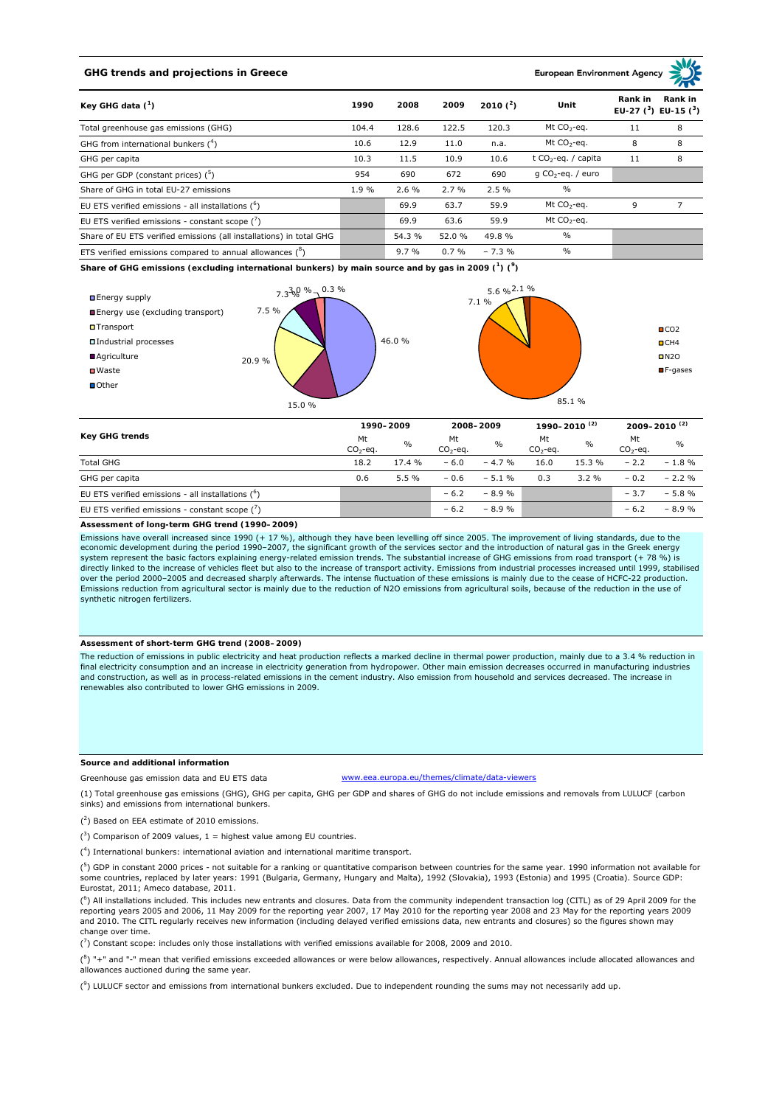## **GHG trends and projections in Greece**

**European Environment Age** 

| Key GHG data $(^1)$                                                 | 1990  | 2008    | 2009    | 2010 $(^{2})$ | Unit                    | Rank in | Rank in<br>EU-27 $(^3)$ EU-15 $(^3)$ |
|---------------------------------------------------------------------|-------|---------|---------|---------------|-------------------------|---------|--------------------------------------|
| Total greenhouse gas emissions (GHG)                                | 104.4 | 128.6   | 122.5   | 120.3         | Mt $CO2$ -eq.           | 11      | 8                                    |
| GHG from international bunkers $(^4)$                               | 10.6  | 12.9    | 11.0    | n.a.          | Mt CO <sub>2</sub> -eq. | 8       | 8                                    |
| GHG per capita                                                      | 10.3  | 11.5    | 10.9    | 10.6          | t $CO_2$ -eq. / capita  | 11      | 8                                    |
| GHG per GDP (constant prices) $(^5)$                                | 954   | 690     | 672     | 690           | g $CO_2$ -eq. / euro    |         |                                      |
| Share of GHG in total EU-27 emissions                               | 1.9%  | 2.6%    | 2.7%    | 2.5%          | $\frac{0}{0}$           |         |                                      |
| EU ETS verified emissions - all installations $(^{6})$              |       | 69.9    | 63.7    | 59.9          | Mt $CO2$ -eq.           | 9       |                                      |
| EU ETS verified emissions - constant scope $\binom{7}{1}$           |       | 69.9    | 63.6    | 59.9          | Mt CO <sub>2</sub> -eq. |         |                                      |
| Share of EU ETS verified emissions (all installations) in total GHG |       | 54.3 %  | 52.0 %  | 49.8%         | $\frac{0}{0}$           |         |                                      |
| ETS verified emissions compared to annual allowances $(^8)$         |       | $9.7\%$ | $0.7\%$ | $-7.3%$       | $\frac{0}{0}$           |         |                                      |

**Share of GHG emissions (excluding international bunkers) by main source and by gas in 2009 (<sup>1</sup> ) (<sup>9</sup> )**



| <b>Key GHG trends</b>                               |                  | 1990-2009     |                  | 2008-2009     |                  | 1990-2010 <sup>(2)</sup> |                  | $2009 - 2010^{(2)}$ |  |
|-----------------------------------------------------|------------------|---------------|------------------|---------------|------------------|--------------------------|------------------|---------------------|--|
|                                                     | Mt<br>$CO2$ -eq. | $\frac{0}{0}$ | Mt<br>$CO2$ -eq. | $\frac{0}{0}$ | Mt<br>$CO2$ -eq. | $\frac{0}{0}$            | Mt<br>$CO2$ -eq. | $\frac{0}{0}$       |  |
| <b>Total GHG</b>                                    | 18.2             | 17.4%         | $-6.0$           | $-4.7%$       | 16.0             | 15.3 %                   | $-2.2$           | $-1.8 \%$           |  |
| GHG per capita                                      | 0.6              | 5.5%          | $-0.6$           | $-5.1%$       | 0.3              | $3.2 \%$                 | $-0.2$           | $-2.2 \%$           |  |
| EU ETS verified emissions - all installations $(5)$ |                  |               | $-6.2$           | $-8.9%$       |                  |                          | $-3.7$           | $-5.8%$             |  |
| EU ETS verified emissions - constant scope $(')$    |                  |               | $-6.2$           | $-8.9%$       |                  |                          | $-6.2$           | $-8.9%$             |  |

**Assessment of long-term GHG trend (1990–2009)**

Emissions have overall increased since 1990 (+ 17 %), although they have been levelling off since 2005. The improvement of living standards, due to the economic development during the period 1990–2007, the significant growth of the services sector and the introduction of natural gas in the Greek energy system represent the basic factors explaining energy-related emission trends. The substantial increase of GHG emissions from road transport (+ 78 %) is<br>directly linked to the increase of vehicles fleet but also to the incr over the period 2000–2005 and decreased sharply afterwards. The intense fluctuation of these emissions is mainly due to the cease of HCFC-22 production. Emissions reduction from agricultural sector is mainly due to the reduction of Ν2Ο emissions from agricultural soils, because of the reduction in the use of synthetic nitrogen fertilizers.

## **Assessment of short-term GHG trend (2008–2009)**

The reduction of emissions in public electricity and heat production reflects a marked decline in thermal power production, mainly due to a 3.4 % reduction in final electricity consumption and an increase in electricity generation from hydropower. Other main emission decreases occurred in manufacturing industries<br>and construction, as well as in process-related emissions in the c renewables also contributed to lower GHG emissions in 2009.

## **Source and additional information**

Greenhouse gas emission data and EU ETS data www.eea.europa.eu/themes/climate/data-viewers

(1) Total greenhouse gas emissions (GHG), GHG per capita, GHG per GDP and shares of GHG do not include emissions and removals from LULUCF (carbon sinks) and emissions from international bunkers.

( 2 ) Based on EEA estimate of 2010 emissions.

 $(3)$  Comparison of 2009 values, 1 = highest value among EU countries.

( 4 ) International bunkers: international aviation and international maritime transport.

 $({}^{5})$  GDP in constant 2000 prices - not suitable for a ranking or quantitative comparison between countries for the same year. 1990 information not available for some countries, replaced by later years: 1991 (Bulgaria, Germany, Hungary and Malta), 1992 (Slovakia), 1993 (Estonia) and 1995 (Croatia). Source GDP: Eurostat, 2011; Ameco database, 2011.

 $({}^{6})$  All installations included. This includes new entrants and closures. Data from the community independent transaction log (CITL) as of 29 April 2009 for the reporting years 2005 and 2006, 11 May 2009 for the reporting year 2007, 17 May 2010 for the reporting year 2008 and 23 May for the reporting years 2009 and 2010. The CITL regularly receives new information (including delayed verified emissions data, new entrants and closures) so the figures shown may change over time.

 $\binom{7}{1}$  Constant scope: includes only those installations with verified emissions available for 2008, 2009 and 2010.

 $(^{8}$ ) "+" and "-" mean that verified emissions exceeded allowances or were below allowances, respectively. Annual allowances include allocated allowances and allowances auctioned during the same year.

 $(3)$  LULUCF sector and emissions from international bunkers excluded. Due to independent rounding the sums may not necessarily add up.